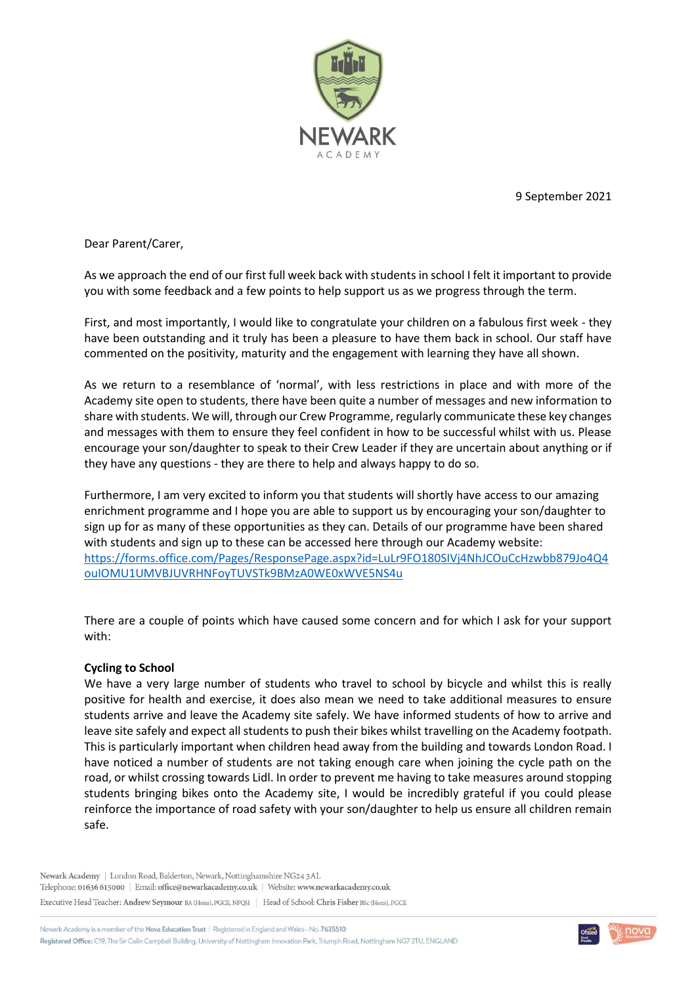

9 September 2021

Dear Parent/Carer,

As we approach the end of our first full week back with students in school I felt it important to provide you with some feedback and a few points to help support us as we progress through the term.

First, and most importantly, I would like to congratulate your children on a fabulous first week - they have been outstanding and it truly has been a pleasure to have them back in school. Our staff have commented on the positivity, maturity and the engagement with learning they have all shown.

As we return to a resemblance of 'normal', with less restrictions in place and with more of the Academy site open to students, there have been quite a number of messages and new information to share with students. We will, through our Crew Programme, regularly communicate these key changes and messages with them to ensure they feel confident in how to be successful whilst with us. Please encourage your son/daughter to speak to their Crew Leader if they are uncertain about anything or if they have any questions - they are there to help and always happy to do so.

Furthermore, I am very excited to inform you that students will shortly have access to our amazing enrichment programme and I hope you are able to support us by encouraging your son/daughter to sign up for as many of these opportunities as they can. Details of our programme have been shared with students and sign up to these can be accessed here through our Academy website: [https://forms.office.com/Pages/ResponsePage.aspx?id=LuLr9FO180SIVj4NhJCOuCcHzwbb879Jo4Q4](https://forms.office.com/Pages/ResponsePage.aspx?id=LuLr9FO180SIVj4NhJCOuCcHzwbb879Jo4Q4ouIOMU1UMVBJUVRHNFoyTUVSTk9BMzA0WE0xWVE5NS4u) [ouIOMU1UMVBJUVRHNFoyTUVSTk9BMzA0WE0xWVE5NS4u](https://forms.office.com/Pages/ResponsePage.aspx?id=LuLr9FO180SIVj4NhJCOuCcHzwbb879Jo4Q4ouIOMU1UMVBJUVRHNFoyTUVSTk9BMzA0WE0xWVE5NS4u)

There are a couple of points which have caused some concern and for which I ask for your support with:

## **Cycling to School**

We have a very large number of students who travel to school by bicycle and whilst this is really positive for health and exercise, it does also mean we need to take additional measures to ensure students arrive and leave the Academy site safely. We have informed students of how to arrive and leave site safely and expect all students to push their bikes whilst travelling on the Academy footpath. This is particularly important when children head away from the building and towards London Road. I have noticed a number of students are not taking enough care when joining the cycle path on the road, or whilst crossing towards Lidl. In order to prevent me having to take measures around stopping students bringing bikes onto the Academy site, I would be incredibly grateful if you could please reinforce the importance of road safety with your son/daughter to help us ensure all children remain safe.

Newark Academy | London Road, Balderton, Newark, Nottinghamshire NG24 3AL Telephone: 01636 615000 | Email: office@newarkacademy.co.uk | Website: www.newarkacademy.co.uk Executive Head Teacher: Andrew Seymour BA (Hons), PGCE, NPQH | Head of School: Chris Fisher BSc (Hons), PGCE